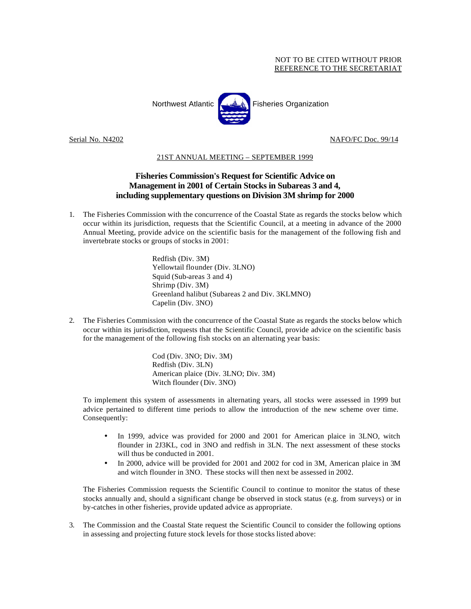## NOT TO BE CITED WITHOUT PRIOR REFERENCE TO THE SECRETARIAT



Serial No. N4202 NAFO/FC Doc. 99/14

## 21ST ANNUAL MEETING – SEPTEMBER 1999

## **Fisheries Commission's Request for Scientific Advice on Management in 2001 of Certain Stocks in Subareas 3 and 4, including supplementary questions on Division 3M shrimp for 2000**

1. The Fisheries Commission with the concurrence of the Coastal State as regards the stocks below which occur within its jurisdiction, requests that the Scientific Council, at a meeting in advance of the 2000 Annual Meeting, provide advice on the scientific basis for the management of the following fish and invertebrate stocks or groups of stocks in 2001:

> Redfish (Div. 3M) Yellowtail flounder (Div. 3LNO) Squid (Sub-areas 3 and 4) Shrimp (Div. 3M) Greenland halibut (Subareas 2 and Div. 3KLMNO) Capelin (Div. 3NO)

2. The Fisheries Commission with the concurrence of the Coastal State as regards the stocks below which occur within its jurisdiction, requests that the Scientific Council, provide advice on the scientific basis for the management of the following fish stocks on an alternating year basis:

> Cod (Div. 3NO; Div. 3M) Redfish (Div. 3LN) American plaice (Div. 3LNO; Div. 3M) Witch flounder (Div. 3NO)

To implement this system of assessments in alternating years, all stocks were assessed in 1999 but advice pertained to different time periods to allow the introduction of the new scheme over time. Consequently:

- In 1999, advice was provided for 2000 and 2001 for American plaice in 3LNO, witch flounder in 2J3KL, cod in 3NO and redfish in 3LN. The next assessment of these stocks will thus be conducted in 2001.
- In 2000, advice will be provided for 2001 and 2002 for cod in 3M, American plaice in 3M and witch flounder in 3NO. These stocks will then next be assessed in 2002.

The Fisheries Commission requests the Scientific Council to continue to monitor the status of these stocks annually and, should a significant change be observed in stock status (e.g. from surveys) or in by-catches in other fisheries, provide updated advice as appropriate.

3. The Commission and the Coastal State request the Scientific Council to consider the following options in assessing and projecting future stock levels for those stocks listed above: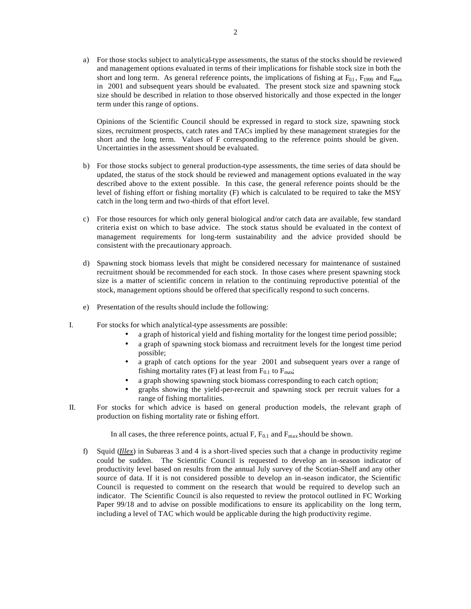a) For those stocks subject to analytical-type assessments, the status of the stocks should be reviewed and management options evaluated in terms of their implications for fishable stock size in both the short and long term. As general reference points, the implications of fishing at  $F_{0.1}$ ,  $F_{1999}$  and  $F_{\text{max}}$ in 2001 and subsequent years should be evaluated. The present stock size and spawning stock size should be described in relation to those observed historically and those expected in the longer term under this range of options.

Opinions of the Scientific Council should be expressed in regard to stock size, spawning stock sizes, recruitment prospects, catch rates and TACs implied by these management strategies for the short and the long term. Values of F corresponding to the reference points should be given. Uncertainties in the assessment should be evaluated.

- b) For those stocks subject to general production-type assessments, the time series of data should be updated, the status of the stock should be reviewed and management options evaluated in the way described above to the extent possible. In this case, the general reference points should be the level of fishing effort or fishing mortality (F) which is calculated to be required to take the MSY catch in the long term and two-thirds of that effort level.
- c) For those resources for which only general biological and/or catch data are available, few standard criteria exist on which to base advice. The stock status should be evaluated in the context of management requirements for long-term sustainability and the advice provided should be consistent with the precautionary approach.
- d) Spawning stock biomass levels that might be considered necessary for maintenance of sustained recruitment should be recommended for each stock. In those cases where present spawning stock size is a matter of scientific concern in relation to the continuing reproductive potential of the stock, management options should be offered that specifically respond to such concerns.
- e) Presentation of the results should include the following:
- I. For stocks for which analytical-type assessments are possible:
	- a graph of historical yield and fishing mortality for the longest time period possible;
	- a graph of spawning stock biomass and recruitment levels for the longest time period possible;
	- a graph of catch options for the year 2001 and subsequent years over a range of fishing mortality rates (F) at least from  $F_{0.1}$  to  $F_{\text{max}}$ ;
	- a graph showing spawning stock biomass corresponding to each catch option;
	- graphs showing the yield-per-recruit and spawning stock per recruit values for a range of fishing mortalities.
- II. For stocks for which advice is based on general production models, the relevant graph of production on fishing mortality rate or fishing effort.

In all cases, the three reference points, actual F,  $F_{0.1}$  and  $F_{\text{max}}$  should be shown.

f) Squid (*Illex*) in Subareas 3 and 4 is a short-lived species such that a change in productivity regime could be sudden. The Scientific Council is requested to develop an in-season indicator of productivity level based on results from the annual July survey of the Scotian-Shelf and any other source of data. If it is not considered possible to develop an in-season indicator, the Scientific Council is requested to comment on the research that would be required to develop such an indicator. The Scientific Council is also requested to review the protocol outlined in FC Working Paper 99/18 and to advise on possible modifications to ensure its applicability on the long term, including a level of TAC which would be applicable during the high productivity regime.